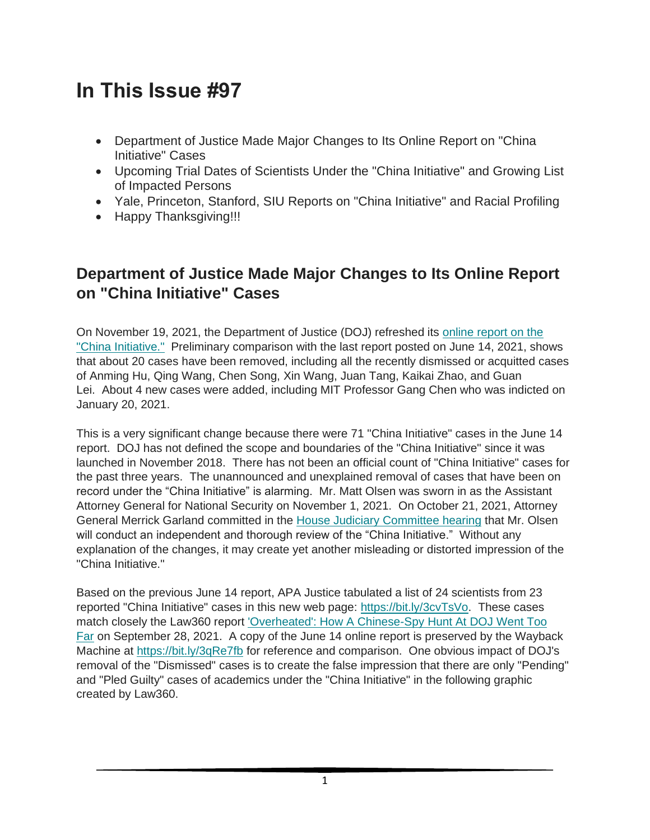# **In This Issue #97**

- Department of Justice Made Major Changes to Its Online Report on "China Initiative" Cases
- Upcoming Trial Dates of Scientists Under the "China Initiative" and Growing List of Impacted Persons
- Yale, Princeton, Stanford, SIU Reports on "China Initiative" and Racial Profiling
- Happy Thanksgiving!!!

## **Department of Justice Made Major Changes to Its Online Report on "China Initiative" Cases**

On November 19, 2021, the Department of Justice (DOJ) refreshed its [online report on the](https://bit.ly/3jK3O6S)  ["China Initiative."](https://bit.ly/3jK3O6S) Preliminary comparison with the last report posted on June 14, 2021, shows that about 20 cases have been removed, including all the recently dismissed or acquitted cases of Anming Hu, Qing Wang, Chen Song, Xin Wang, Juan Tang, Kaikai Zhao, and Guan Lei. About 4 new cases were added, including MIT Professor Gang Chen who was indicted on January 20, 2021.

This is a very significant change because there were 71 "China Initiative" cases in the June 14 report. DOJ has not defined the scope and boundaries of the "China Initiative" since it was launched in November 2018. There has not been an official count of "China Initiative" cases for the past three years. The unannounced and unexplained removal of cases that have been on record under the "China Initiative" is alarming. Mr. Matt Olsen was sworn in as the Assistant Attorney General for National Security on November 1, 2021. On October 21, 2021, Attorney General Merrick Garland committed in the [House Judiciary Committee hearing](https://bit.ly/3kfrAZV) that Mr. Olsen will conduct an independent and thorough review of the "China Initiative." Without any explanation of the changes, it may create yet another misleading or distorted impression of the "China Initiative."

Based on the previous June 14 report, APA Justice tabulated a list of 24 scientists from 23 reported "China Initiative" cases in this new web page: [https://bit.ly/3cvTsVo.](https://bit.ly/3cvTsVo) These cases match closely the Law360 report ['Overheated': How A Chinese-Spy Hunt At DOJ Went Too](https://bit.ly/3igSqzR)  [Far](https://bit.ly/3igSqzR) on September 28, 2021. A copy of the June 14 online report is preserved by the Wayback Machine at <https://bit.ly/3qRe7fb> for reference and comparison. One obvious impact of DOJ's removal of the "Dismissed" cases is to create the false impression that there are only "Pending" and "Pled Guilty" cases of academics under the "China Initiative" in the following graphic created by Law360.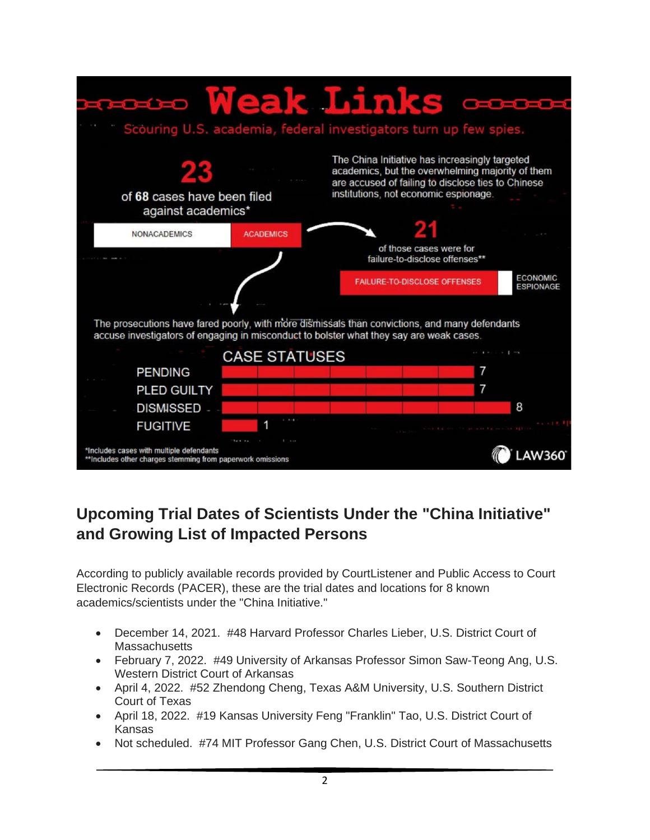

## **Upcoming Trial Dates of Scientists Under the "China Initiative" and Growing List of Impacted Persons**

According to publicly available records provided by CourtListener and Public Access to Court Electronic Records (PACER), these are the trial dates and locations for 8 known academics/scientists under the "China Initiative."

- December 14, 2021. #48 Harvard Professor Charles Lieber, U.S. District Court of **Massachusetts**
- February 7, 2022. #49 University of Arkansas Professor Simon Saw-Teong Ang, U.S. Western District Court of Arkansas
- April 4, 2022. #52 Zhendong Cheng, Texas A&M University, U.S. Southern District Court of Texas
- April 18, 2022. #19 Kansas University Feng "Franklin" Tao, U.S. District Court of Kansas
- Not scheduled. #74 MIT Professor Gang Chen, U.S. District Court of Massachusetts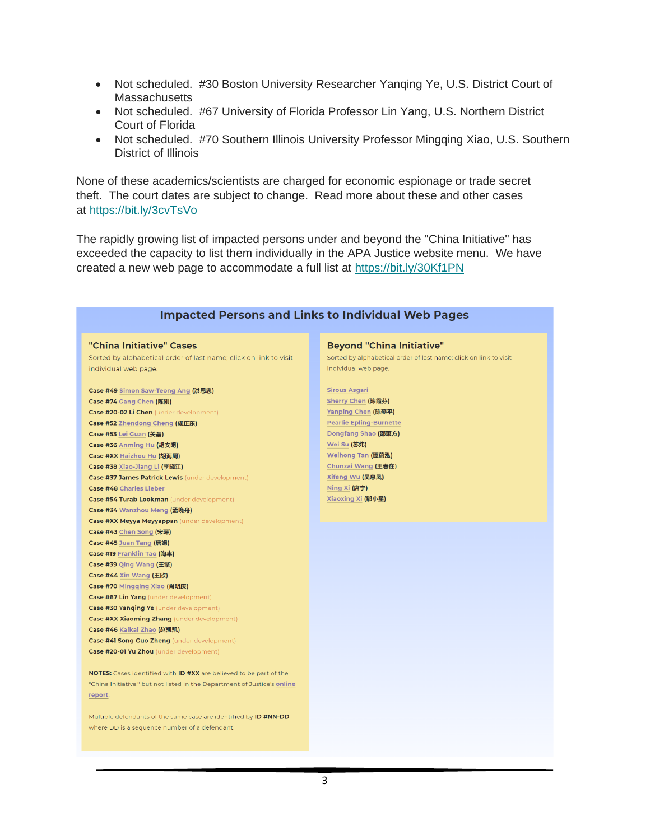- Not scheduled. #30 Boston University Researcher Yanging Ye, U.S. District Court of **Massachusetts**
- Not scheduled. #67 University of Florida Professor Lin Yang, U.S. Northern District Court of Florida
- Not scheduled. #70 Southern Illinois University Professor Mingqing Xiao, U.S. Southern District of Illinois

None of these academics/scientists are charged for economic espionage or trade secret theft. The court dates are subject to change. Read more about these and other cases at <https://bit.ly/3cvTsVo>

The rapidly growing list of impacted persons under and beyond the "China Initiative" has exceeded the capacity to list them individually in the APA Justice website menu. We have created a new web page to accommodate a full list at <https://bit.ly/30Kf1PN>

#### **Impacted Persons and Links to Individual Web Pages**

#### "China Initiative" Cases

Sorted by alphabetical order of last name; click on link to visit individual web page.

Case #49 Simon Saw-Teong Ang (洪思忠) Case #74 Gang Chen (陈刚) Case #20-02 Li Chen (under development) Case #52 Zhendong Cheng (成正东) Case #53 Lei Guan (关磊) Case #36 Anming Hu (胡安明) Case #XX Haizhou Hu (胡海周) Case #38 Xiao-Jiang Li (李晓江) Case #37 James Patrick Lewis (under development) Case #48 Charles Lieber Case #54 Turab Lookman (under development) Case #34 Wanzhou Meng (孟晚舟) **Case #XX Meyya Meyyappan** (under development) Case #43 Chen Song (宋琛) Case #45 Juan Tang (唐娟) Case #19 Franklin Tao (陶丰) Case #39 Qing Wang (王擎) Case #44 Xin Wang (王欣) Case #70 Mingging Xiao (肖明庆) Case #67 Lin Yang (under development) **Case #30 Yanqing Ye** (under development) **Case #XX Xiaoming Zhang** (under development) Case #46 Kaikai Zhao (赵凯凯) Case #41 Song Guo Zheng (under development) Case #20-01 Yu Zhou (under development)

NOTES: Cases identified with ID #XX are believed to be part of the "China Initiative," but not listed in the Department of Justice's online report.

Multiple defendants of the same case are identified by ID #NN-DD where DD is a sequence number of a defendant.

#### **Beyond "China Initiative"**

Sorted by alphabetical order of last name; click on link to visit individual web page.

**Sirous Asgari** Sherry Chen (陈霞芬) Yanping Chen (陈燕平) **Pearlie Epling-Burnette** Dongfang Shao (邵東方) Wei Su (苏炜) Weihong Tan (谭蔚泓) Chunzai Wang (王春在) Xifeng Wu (吴息凤) Ning Xi (席宁) Xiaoxing Xi (郗小星)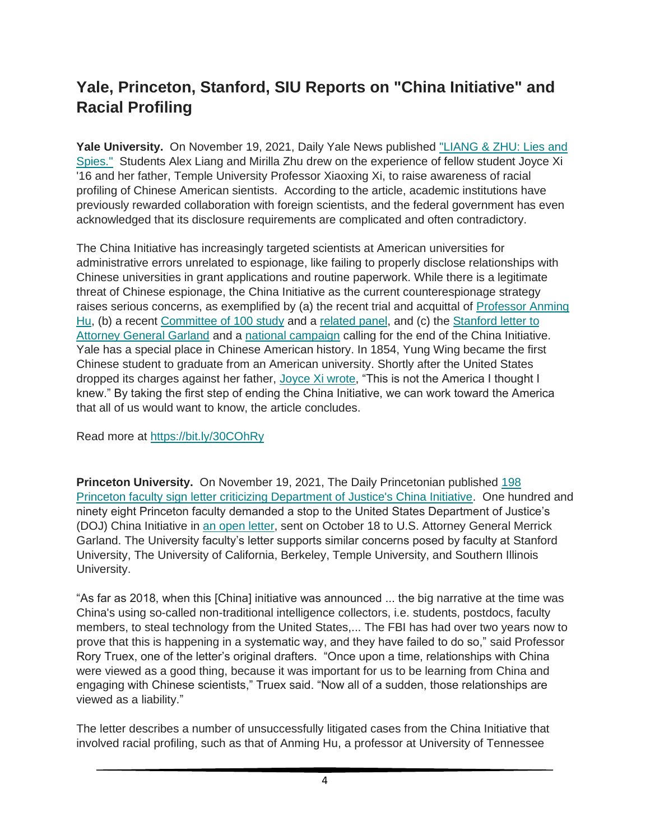# **Yale, Princeton, Stanford, SIU Reports on "China Initiative" and Racial Profiling**

**Yale University.** On November 19, 2021, Daily Yale News published ["LIANG & ZHU: Lies and](https://bit.ly/30COhRy)  [Spies."](https://bit.ly/30COhRy) Students Alex Liang and Mirilla Zhu drew on the experience of fellow student Joyce Xi '16 and her father, Temple University Professor Xiaoxing Xi, to raise awareness of racial profiling of Chinese American sientists. According to the article, academic institutions have previously rewarded collaboration with foreign scientists, and the federal government has even acknowledged that its disclosure requirements are complicated and often contradictory.

The China Initiative has increasingly targeted scientists at American universities for administrative errors unrelated to espionage, like failing to properly disclose relationships with Chinese universities in grant applications and routine paperwork. While there is a legitimate threat of Chinese espionage, the China Initiative as the current counterespionage strategy raises serious concerns, as exemplified by (a) the recent trial and acquittal of [Professor Anming](https://www.apajustice.org/anming-hu.html)  [Hu,](https://www.apajustice.org/anming-hu.html) (b) a recent [Committee of 100 study](https://bit.ly/2ZBvIwA) and a [related panel,](https://bit.ly/3FzxPQL) and (c) the [Stanford letter to](https://bit.ly/3tD4Gzt)  [Attorney General Garland](https://bit.ly/3tD4Gzt) and a [national campaign](https://bit.ly/2ZC12up) calling for the end of the China Initiative. Yale has a special place in Chinese American history. In 1854, Yung Wing became the first Chinese student to graduate from an American university. Shortly after the United States dropped its charges against her father, [Joyce Xi wrote,](https://bit.ly/3FAQoE0) "This is not the America I thought I knew." By taking the first step of ending the China Initiative, we can work toward the America that all of us would want to know, the article concludes.

Read more at <https://bit.ly/30COhRy>

**Princeton University.** On November 19, 2021, The Daily Princetonian published [198](https://bit.ly/3CvR4Zz)  [Princeton faculty sign letter criticizing Department of Justice's China Initiative.](https://bit.ly/3CvR4Zz) One hundred and ninety eight Princeton faculty demanded a stop to the United States Department of Justice's (DOJ) China Initiative in [an open letter,](https://bit.ly/3AXw6C6) sent on October 18 to U.S. Attorney General Merrick Garland. The University faculty's letter supports similar concerns posed by faculty at Stanford University, The University of California, Berkeley, Temple University, and Southern Illinois University.

"As far as 2018, when this [China] initiative was announced ... the big narrative at the time was China's using so-called non-traditional intelligence collectors, i.e. students, postdocs, faculty members, to steal technology from the United States,... The FBI has had over two years now to prove that this is happening in a systematic way, and they have failed to do so," said Professor Rory Truex, one of the letter's original drafters. "Once upon a time, relationships with China were viewed as a good thing, because it was important for us to be learning from China and engaging with Chinese scientists," Truex said. "Now all of a sudden, those relationships are viewed as a liability."

The letter describes a number of unsuccessfully litigated cases from the China Initiative that involved racial profiling, such as that of Anming Hu, a professor at University of Tennessee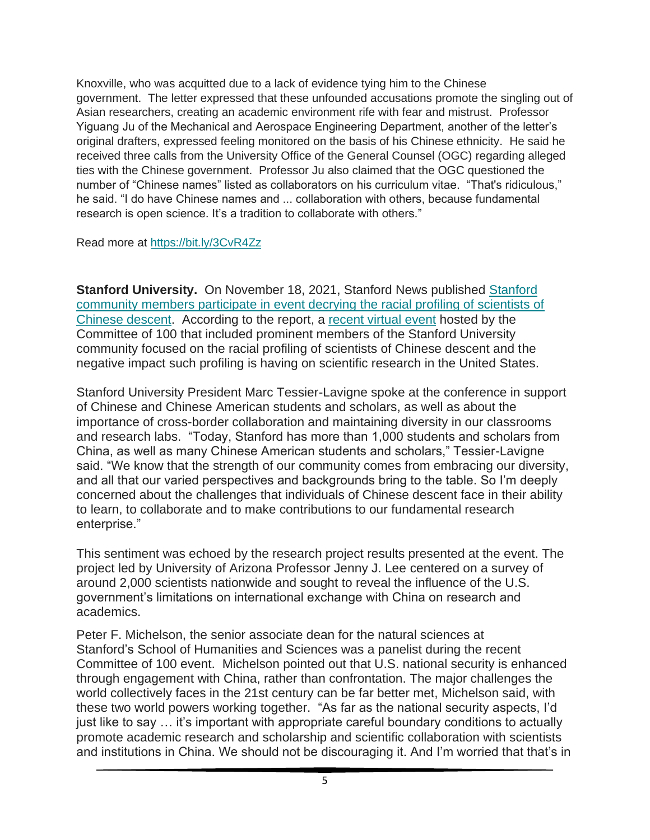Knoxville, who was acquitted due to a lack of evidence tying him to the Chinese government. The letter expressed that these unfounded accusations promote the singling out of Asian researchers, creating an academic environment rife with fear and mistrust. Professor Yiguang Ju of the Mechanical and Aerospace Engineering Department, another of the letter's original drafters, expressed feeling monitored on the basis of his Chinese ethnicity. He said he received three calls from the University Office of the General Counsel (OGC) regarding alleged ties with the Chinese government. Professor Ju also claimed that the OGC questioned the number of "Chinese names" listed as collaborators on his curriculum vitae. "That's ridiculous," he said. "I do have Chinese names and ... collaboration with others, because fundamental research is open science. It's a tradition to collaborate with others."

Read more at <https://bit.ly/3CvR4Zz>

**[Stanford](https://stanford.io/3p5os4P) University.** On November 18, 2021, Stanford News published Stanford [community members participate in event decrying the racial profiling of scientists of](https://stanford.io/3p5os4P)  [Chinese descent.](https://stanford.io/3p5os4P) According to the report, a [recent virtual event](https://bit.ly/3DDGXDk) hosted by the Committee of 100 that included prominent members of the Stanford University community focused on the racial profiling of scientists of Chinese descent and the negative impact such profiling is having on scientific research in the United States.

Stanford University President Marc Tessier-Lavigne spoke at the conference in support of Chinese and Chinese American students and scholars, as well as about the importance of cross-border collaboration and maintaining diversity in our classrooms and research labs. "Today, Stanford has more than 1,000 students and scholars from China, as well as many Chinese American students and scholars," Tessier-Lavigne said. "We know that the strength of our community comes from embracing our diversity, and all that our varied perspectives and backgrounds bring to the table. So I'm deeply concerned about the challenges that individuals of Chinese descent face in their ability to learn, to collaborate and to make contributions to our fundamental research enterprise."

This sentiment was echoed by the research project results presented at the event. The project led by University of Arizona Professor Jenny J. Lee centered on a survey of around 2,000 scientists nationwide and sought to reveal the influence of the U.S. government's limitations on international exchange with China on research and academics.

Peter F. Michelson, the senior associate dean for the natural sciences at Stanford's School of Humanities and Sciences was a panelist during the recent Committee of 100 event. Michelson pointed out that U.S. national security is enhanced through engagement with China, rather than confrontation. The major challenges the world collectively faces in the 21st century can be far better met, Michelson said, with these two world powers working together. "As far as the national security aspects, I'd just like to say … it's important with appropriate careful boundary conditions to actually promote academic research and scholarship and scientific collaboration with scientists and institutions in China. We should not be discouraging it. And I'm worried that that's in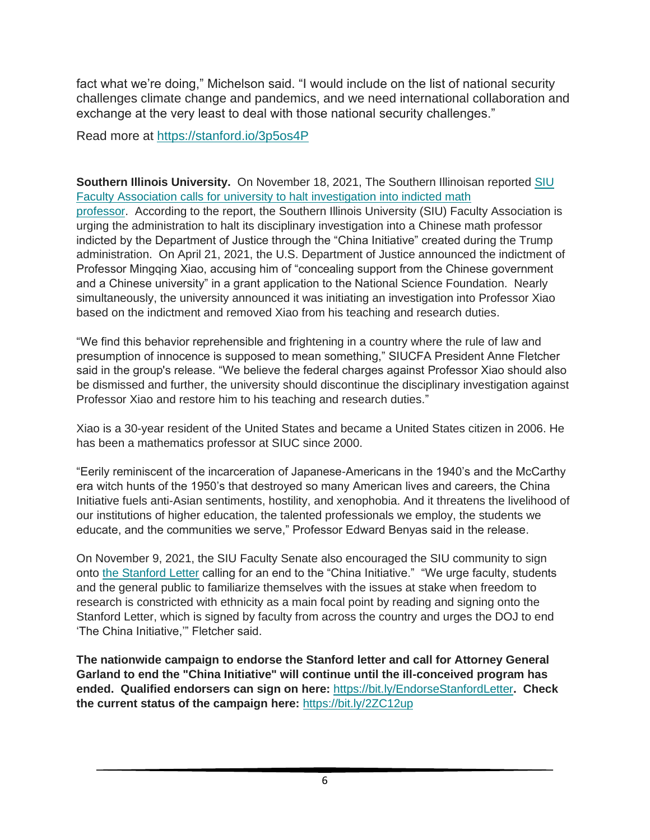fact what we're doing," Michelson said. "I would include on the list of national security challenges climate change and pandemics, and we need international collaboration and exchange at the very least to deal with those national security challenges."

Read more at <https://stanford.io/3p5os4P>

**Southern Illinois University.** On November 18, 2021, The Southern Illinoisan reported [SIU](https://bit.ly/3FzKzqp)  [Faculty Association calls for university to halt investigation into indicted math](https://bit.ly/3FzKzqp)  [professor.](https://bit.ly/3FzKzqp) According to the report, the Southern Illinois University (SIU) Faculty Association is urging the administration to halt its disciplinary investigation into a Chinese math professor indicted by the Department of Justice through the "China Initiative" created during the Trump administration. On April 21, 2021, the U.S. Department of Justice announced the indictment of Professor Mingqing Xiao, accusing him of "concealing support from the Chinese government and a Chinese university" in a grant application to the National Science Foundation. Nearly simultaneously, the university announced it was initiating an investigation into Professor Xiao based on the indictment and removed Xiao from his teaching and research duties.

"We find this behavior reprehensible and frightening in a country where the rule of law and presumption of innocence is supposed to mean something," SIUCFA President Anne Fletcher said in the group's release. "We believe the federal charges against Professor Xiao should also be dismissed and further, the university should discontinue the disciplinary investigation against Professor Xiao and restore him to his teaching and research duties."

Xiao is a 30-year resident of the United States and became a United States citizen in 2006. He has been a mathematics professor at SIUC since 2000.

"Eerily reminiscent of the incarceration of Japanese-Americans in the 1940's and the McCarthy era witch hunts of the 1950's that destroyed so many American lives and careers, the China Initiative fuels anti-Asian sentiments, hostility, and xenophobia. And it threatens the livelihood of our institutions of higher education, the talented professionals we employ, the students we educate, and the communities we serve," Professor Edward Benyas said in the release.

On November 9, 2021, the SIU Faculty Senate also encouraged the SIU community to sign onto [the Stanford Letter](https://bit.ly/3tD4Gzt) calling for an end to the "China Initiative." "We urge faculty, students and the general public to familiarize themselves with the issues at stake when freedom to research is constricted with ethnicity as a main focal point by reading and signing onto the Stanford Letter, which is signed by faculty from across the country and urges the DOJ to end 'The China Initiative,'" Fletcher said.

**The nationwide campaign to endorse the Stanford letter and call for Attorney General Garland to end the "China Initiative" will continue until the ill-conceived program has ended. Qualified endorsers can sign on here:** <https://bit.ly/EndorseStanfordLetter>**. Check the current status of the campaign here:** <https://bit.ly/2ZC12up>